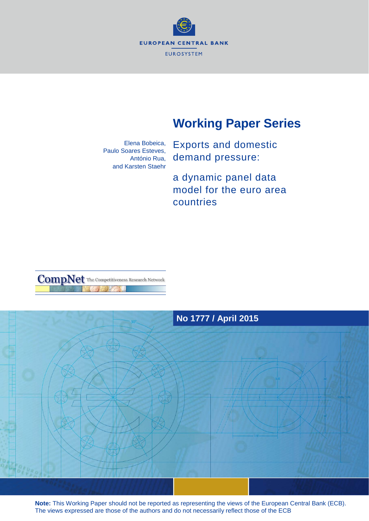

# **Working Paper Series**

Elena Bobeica, Paulo Soares Esteves, António Rua, and Karsten Staehr

Exports and domestic demand pressure:

a dynamic panel data model for the euro area countries





**Note:** This Working Paper should not be reported as representing the views of the European Central Bank (ECB). The views expressed are those of the authors and do not necessarily reflect those of the ECB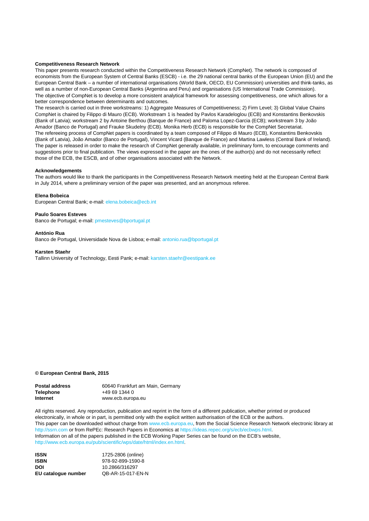## **Competitiveness Research Network**

This paper presents research conducted within the Competitiveness Research Network (CompNet). The network is composed of economists from the European System of Central Banks (ESCB) - i.e. the 29 national central banks of the European Union (EU) and the European Central Bank – a number of international organisations (World Bank, OECD, EU Commission) universities and think-tanks, as well as a number of non-European Central Banks (Argentina and Peru) and organisations (US International Trade Commission). The objective of CompNet is to develop a more consistent analytical framework for assessing competitiveness, one which allows for a better correspondence between determinants and outcomes.

The research is carried out in three workstreams: 1) Aggregate Measures of Competitiveness; 2) Firm Level; 3) Global Value Chains CompNet is chaired by Filippo di Mauro (ECB). Workstream 1 is headed by Pavlos Karadeloglou (ECB) and Konstantins Benkovskis (Bank of Latvia); workstream 2 by Antoine Berthou (Banque de France) and Paloma Lopez-Garcia (ECB); workstream 3 by João Amador (Banco de Portugal) and Frauke Skudelny (ECB). Monika Herb (ECB) is responsible for the CompNet Secretariat. The refereeing process of CompNet papers is coordinated by a team composed of Filippo di Mauro (ECB), Konstantins Benkovskis (Bank of Latvia), João Amador (Banco de Portugal), Vincent Vicard (Banque de France) and Martina Lawless (Central Bank of Ireland). The paper is released in order to make the research of CompNet generally available, in preliminary form, to encourage comments and suggestions prior to final publication. The views expressed in the paper are the ones of the author(s) and do not necessarily reflect those of the ECB, the ESCB, and of other organisations associated with the Network.

### **Acknowledgements**

The authors would like to thank the participants in the Competitiveness Research Network meeting held at the European Central Bank in July 2014, where a preliminary version of the paper was presented, and an anonymous referee.

### **Elena Bobeica**

European Central Bank; e-mail[: elena.bobeica@ecb.int](mailto:elena.bobeica@ecb.int)

#### **Paulo Soares Esteves**

Banco de Portugal; e-mail[: pmesteves@bportugal.pt](mailto:pmesteves@bportugal.pt)

## **António Rua**

Banco de Portugal, Universidade Nova de Lisboa; e-mail: [antonio.rua@bportugal.pt](mailto:antonio.rua@bportugal.pt)

#### **Karsten Staehr**

Tallinn University of Technology, Eesti Pank; e-mail[: karsten.staehr@eestipank.ee](mailto:karsten.staehr@eestipank.ee)

## **© European Central Bank, 2015**

| <b>Postal address</b> | 60640 Frankfurt am Main, Germany |
|-----------------------|----------------------------------|
| <b>Telephone</b>      | +49 69 1344 0                    |
| Internet              | www.ecb.europa.eu                |

All rights reserved. Any reproduction, publication and reprint in the form of a different publication, whether printed or produced electronically, in whole or in part, is permitted only with the explicit written authorisation of the ECB or the authors. This paper can be downloaded without charge from [www.ecb.europa.eu,](http://www.ecb.europa.eu/) from the Social Science Research Network electronic library at [http://ssrn.com](http://ssrn.com/) or from RePEc: Research Papers in Economics at [https://ideas.repec.org/s/ecb/ecbwps.html.](https://ideas.repec.org/s/ecb/ecbwps.html) Information on all of the papers published in the ECB Working Paper Series can be found on the ECB's website, [http://www.ecb.europa.eu/pub/scientific/wps/date/html/index.en.html.](http://www.ecb.europa.eu/pub/scientific/wps/date/html/index.en.html)

**ISSN 1725-2806 (online)**<br>**ISBN 978-92-899-1590-8 ISBN** 978-92-899-1590-8 **DOI** 10.2866/316297 **EU catalogue number** QB-AR-15-017-EN-N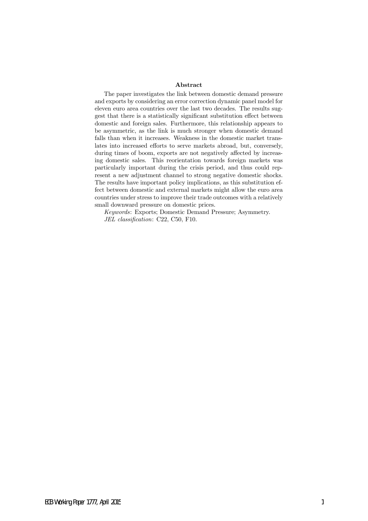## Abstract

The paper investigates the link between domestic demand pressure and exports by considering an error correction dynamic panel model for eleven euro area countries over the last two decades. The results suggest that there is a statistically significant substitution effect between domestic and foreign sales. Furthermore, this relationship appears to be asymmetric, as the link is much stronger when domestic demand falls than when it increases. Weakness in the domestic market translates into increased efforts to serve markets abroad, but, conversely, during times of boom, exports are not negatively affected by increasing domestic sales. This reorientation towards foreign markets was particularly important during the crisis period, and thus could represent a new adjustment channel to strong negative domestic shocks. The results have important policy implications, as this substitution effect between domestic and external markets might allow the euro area countries under stress to improve their trade outcomes with a relatively small downward pressure on domestic prices.

Keywords: Exports; Domestic Demand Pressure; Asymmetry. JEL classification: C22, C50, F10.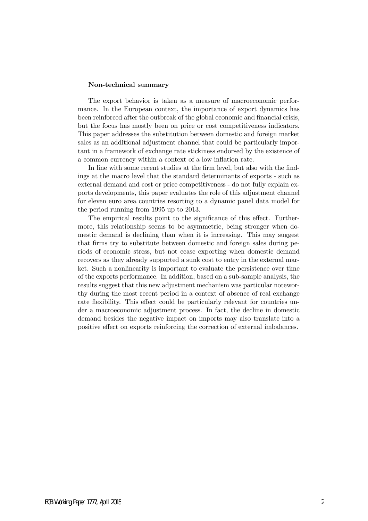## Non-technical summary

The export behavior is taken as a measure of macroeconomic performance. In the European context, the importance of export dynamics has been reinforced after the outbreak of the global economic and financial crisis, but the focus has mostly been on price or cost competitiveness indicators. This paper addresses the substitution between domestic and foreign market sales as an additional adjustment channel that could be particularly important in a framework of exchange rate stickiness endorsed by the existence of a common currency within a context of a low inflation rate.

In line with some recent studies at the firm level, but also with the findings at the macro level that the standard determinants of exports - such as external demand and cost or price competitiveness - do not fully explain exports developments, this paper evaluates the role of this adjustment channel for eleven euro area countries resorting to a dynamic panel data model for the period running from 1995 up to 2013.

The empirical results point to the significance of this effect. Furthermore, this relationship seems to be asymmetric, being stronger when domestic demand is declining than when it is increasing. This may suggest that firms try to substitute between domestic and foreign sales during periods of economic stress, but not cease exporting when domestic demand recovers as they already supported a sunk cost to entry in the external market. Such a nonlinearity is important to evaluate the persistence over time of the exports performance. In addition, based on a sub-sample analysis, the results suggest that this new adjustment mechanism was particular noteworthy during the most recent period in a context of absence of real exchange rate flexibility. This effect could be particularly relevant for countries under a macroeconomic adjustment process. In fact, the decline in domestic demand besides the negative impact on imports may also translate into a positive effect on exports reinforcing the correction of external imbalances.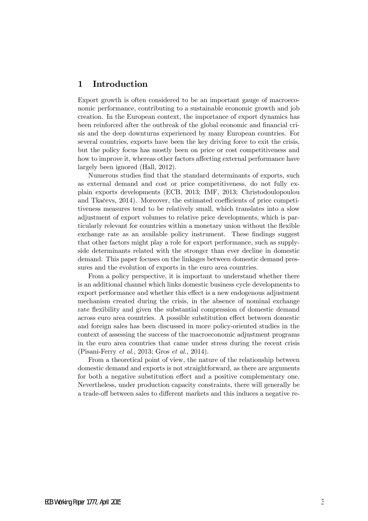# 1 Introduction

Export growth is often considered to be an important gauge of macroeconomic performance, contributing to a sustainable economic growth and job creation. In the European context, the importance of export dynamics has been reinforced after the outbreak of the global economic and financial crisis and the deep downturns experienced by many European countries. For several countries, exports have been the key driving force to exit the crisis, but the policy focus has mostly been on price or cost competitiveness and how to improve it, whereas other factors affecting external performance have largely been ignored (Hall, 2012).

Numerous studies find that the standard determinants of exports, such as external demand and cost or price competitiveness, do not fully explain exports developments (ECB, 2013; IMF, 2013; Christodoulopoulou and Tkačevs, 2014). Moreover, the estimated coefficients of price competitiveness measures tend to be relatively small, which translates into a slow adjustment of export volumes to relative price developments, which is particularly relevant for countries within a monetary union without the flexible exchange rate as an available policy instrument. These findings suggest that other factors might play a role for export performance, such as supplyside determinants related with the stronger than ever decline in domestic demand. This paper focuses on the linkages between domestic demand pressures and the evolution of exports in the euro area countries.

From a policy perspective, it is important to understand whether there is an additional channel which links domestic business cycle developments to export performance and whether this effect is a new endogenous adjustment mechanism created during the crisis, in the absence of nominal exchange rate flexibility and given the substantial compression of domestic demand across euro area countries. A possible substitution effect between domestic and foreign sales has been discussed in more policy-oriented studies in the context of assessing the success of the macroeconomic adjustment programs in the euro area countries that came under stress during the recent crisis (Pisani-Ferry et al., 2013; Gros et al., 2014).

From a theoretical point of view, the nature of the relationship between domestic demand and exports is not straightforward, as there are arguments for both a negative substitution effect and a positive complementary one. Nevertheless, under production capacity constraints, there will generally be a trade-off between sales to different markets and this induces a negative re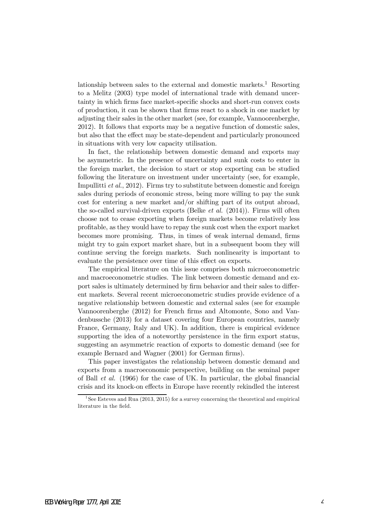lationship between sales to the external and domestic markets.<sup>1</sup> Resorting to a Melitz (2003) type model of international trade with demand uncertainty in which firms face market-specific shocks and short-run convex costs of production, it can be shown that firms react to a shock in one market by adjusting their sales in the other market (see, for example, Vannoorenberghe, 2012). It follows that exports may be a negative function of domestic sales, but also that the effect may be state-dependent and particularly pronounced in situations with very low capacity utilisation.

In fact, the relationship between domestic demand and exports may be asymmetric. In the presence of uncertainty and sunk costs to enter in the foreign market, the decision to start or stop exporting can be studied following the literature on investment under uncertainty (see, for example, Impullitti et al., 2012). Firms try to substitute between domestic and foreign sales during periods of economic stress, being more willing to pay the sunk cost for entering a new market and/or shifting part of its output abroad, the so-called survival-driven exports (Belke  $et$  al. (2014)). Firms will often choose not to cease exporting when foreign markets become relatively less profitable, as they would have to repay the sunk cost when the export market becomes more promising. Thus, in times of weak internal demand, firms might try to gain export market share, but in a subsequent boom they will continue serving the foreign markets. Such nonlinearity is important to evaluate the persistence over time of this effect on exports.

The empirical literature on this issue comprises both microeconometric and macroeconometric studies. The link between domestic demand and export sales is ultimately determined by firm behavior and their sales to different markets. Several recent microeconometric studies provide evidence of a negative relationship between domestic and external sales (see for example Vannoorenberghe (2012) for French firms and Altomonte, Sono and Vandenbussche (2013) for a dataset covering four European countries, namely France, Germany, Italy and UK). In addition, there is empirical evidence supporting the idea of a noteworthy persistence in the firm export status, suggesting an asymmetric reaction of exports to domestic demand (see for example Bernard and Wagner (2001) for German firms).

This paper investigates the relationship between domestic demand and exports from a macroeconomic perspective, building on the seminal paper of Ball et al. (1966) for the case of UK. In particular, the global financial crisis and its knock-on effects in Europe have recently rekindled the interest

<sup>&</sup>lt;sup>1</sup>See Esteves and Rua (2013, 2015) for a survey concerning the theoretical and empirical literature in the field.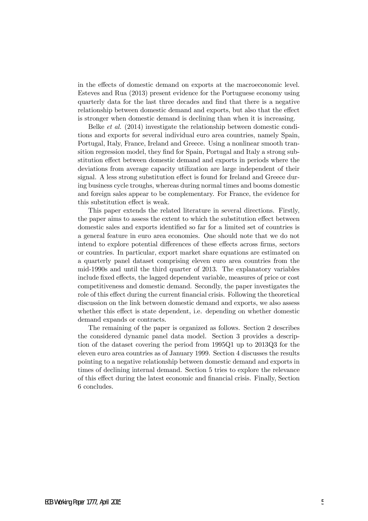in the effects of domestic demand on exports at the macroeconomic level. Esteves and Rua (2013) present evidence for the Portuguese economy using quarterly data for the last three decades and find that there is a negative relationship between domestic demand and exports, but also that the effect is stronger when domestic demand is declining than when it is increasing.

Belke et al. (2014) investigate the relationship between domestic conditions and exports for several individual euro area countries, namely Spain, Portugal, Italy, France, Ireland and Greece. Using a nonlinear smooth transition regression model, they find for Spain, Portugal and Italy a strong substitution effect between domestic demand and exports in periods where the deviations from average capacity utilization are large independent of their signal. A less strong substitution effect is found for Ireland and Greece during business cycle troughs, whereas during normal times and booms domestic and foreign sales appear to be complementary. For France, the evidence for this substitution effect is weak.

This paper extends the related literature in several directions. Firstly, the paper aims to assess the extent to which the substitution effect between domestic sales and exports identified so far for a limited set of countries is a general feature in euro area economies. One should note that we do not intend to explore potential differences of these effects across firms, sectors or countries. In particular, export market share equations are estimated on a quarterly panel dataset comprising eleven euro area countries from the mid-1990s and until the third quarter of 2013. The explanatory variables include fixed effects, the lagged dependent variable, measures of price or cost competitiveness and domestic demand. Secondly, the paper investigates the role of this effect during the current financial crisis. Following the theoretical discussion on the link between domestic demand and exports, we also assess whether this effect is state dependent, i.e. depending on whether domestic demand expands or contracts.

The remaining of the paper is organized as follows. Section 2 describes the considered dynamic panel data model. Section 3 provides a description of the dataset covering the period from 1995Q1 up to 2013Q3 for the eleven euro area countries as of January 1999. Section 4 discusses the results pointing to a negative relationship between domestic demand and exports in times of declining internal demand. Section 5 tries to explore the relevance of this effect during the latest economic and financial crisis. Finally, Section 6 concludes.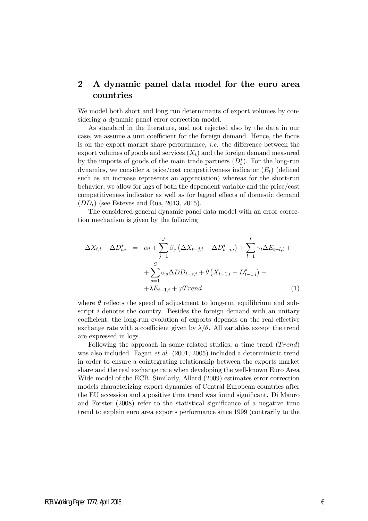# 2 A dynamic panel data model for the euro area countries

We model both short and long run determinants of export volumes by considering a dynamic panel error correction model.

As standard in the literature, and not rejected also by the data in our case, we assume a unit coefficient for the foreign demand. Hence, the focus is on the export market share performance, *i.e.* the difference between the export volumes of goods and services  $(X_t)$  and the foreign demand measured by the imports of goods of the main trade partners  $(D_t^*)$ . For the long-run dynamics, we consider a price/cost competitiveness indicator  $(E_t)$  (defined such as an increase represents an appreciation) whereas for the short-run behavior, we allow for lags of both the dependent variable and the price/cost competitiveness indicator as well as for lagged effects of domestic demand  $(DD_t)$  (see Esteves and Rua, 2013, 2015).

The considered general dynamic panel data model with an error correction mechanism is given by the following

$$
\Delta X_{t,i} - \Delta D_{t,i}^{*} = \alpha_{i} + \sum_{j=1}^{J} \beta_{j} \left( \Delta X_{t-j,i} - \Delta D_{t-j,i}^{*} \right) + \sum_{l=1}^{L} \gamma_{l} \Delta E_{t-l,i} + \sum_{s=1}^{S} \omega_{s} \Delta D D_{t-s,i} + \theta \left( X_{t-1,i} - D_{t-1,i}^{*} \right) + \lambda E_{t-1,i} + \varphi Trend
$$
\n(1)

where  $\theta$  reflects the speed of adjustment to long-run equilibrium and subscript *i* denotes the country. Besides the foreign demand with an unitary coefficient, the long-run evolution of exports depends on the real effective exchange rate with a coefficient given by  $\lambda/\theta$ . All variables except the trend are expressed in logs.

Following the approach in some related studies, a time trend  $(Trend)$ was also included. Fagan *et al.* (2001, 2005) included a deterministic trend in order to ensure a cointegrating relationship between the exports market share and the real exchange rate when developing the well-known Euro Area Wide model of the ECB. Similarly, Allard (2009) estimates error correction models characterizing export dynamics of Central European countries after the EU accession and a positive time trend was found significant. Di Mauro and Forster (2008) refer to the statistical significance of a negative time trend to explain euro area exports performance since 1999 (contrarily to the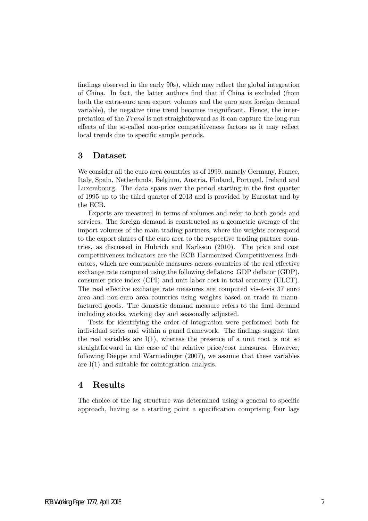findings observed in the early 90s), which may reflect the global integration of China. In fact, the latter authors find that if China is excluded (from both the extra-euro area export volumes and the euro area foreign demand variable), the negative time trend becomes insignificant. Hence, the interpretation of the  $Trend$  is not straightforward as it can capture the long-run effects of the so-called non-price competitiveness factors as it may reflect local trends due to specific sample periods.

# 3 Dataset

We consider all the euro area countries as of 1999, namely Germany, France, Italy, Spain, Netherlands, Belgium, Austria, Finland, Portugal, Ireland and Luxembourg. The data spans over the period starting in the first quarter of 1995 up to the third quarter of 2013 and is provided by Eurostat and by the ECB.

Exports are measured in terms of volumes and refer to both goods and services. The foreign demand is constructed as a geometric average of the import volumes of the main trading partners, where the weights correspond to the export shares of the euro area to the respective trading partner countries, as discussed in Hubrich and Karlsson (2010). The price and cost competitiveness indicators are the ECB Harmonized Competitiveness Indicators, which are comparable measures across countries of the real effective exchange rate computed using the following deflators: GDP deflator (GDP), consumer price index (CPI) and unit labor cost in total economy (ULCT). The real effective exchange rate measures are computed vis-à-vis 37 euro area and non-euro area countries using weights based on trade in manufactured goods. The domestic demand measure refers to the final demand including stocks, working day and seasonally adjusted.

Tests for identifying the order of integration were performed both for individual series and within a panel framework. The findings suggest that the real variables are  $I(1)$ , whereas the presence of a unit root is not so straightforward in the case of the relative price/cost measures. However, following Dieppe and Warmedinger (2007), we assume that these variables are I(1) and suitable for cointegration analysis.

## 4 Results

The choice of the lag structure was determined using a general to specific approach, having as a starting point a specification comprising four lags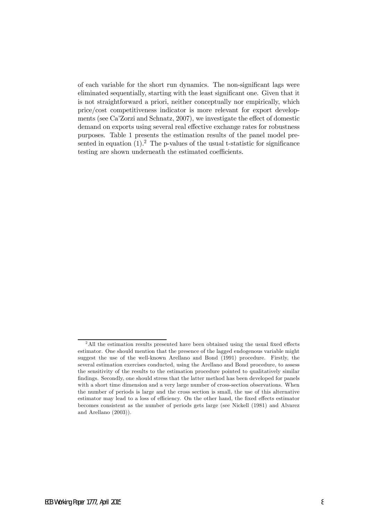of each variable for the short run dynamics. The non-significant lags were eliminated sequentially, starting with the least significant one. Given that it is not straightforward a priori, neither conceptually nor empirically, which price/cost competitiveness indicator is more relevant for export developments (see Ca'Zorzi and Schnatz, 2007), we investigate the effect of domestic demand on exports using several real effective exchange rates for robustness purposes. Table 1 presents the estimation results of the panel model presented in equation  $(1)^2$ . The p-values of the usual t-statistic for significance testing are shown underneath the estimated coefficients.

<sup>&</sup>lt;sup>2</sup>All the estimation results presented have been obtained using the usual fixed effects estimator. One should mention that the presence of the lagged endogenous variable might suggest the use of the well-known Arellano and Bond (1991) procedure. Firstly, the several estimation exercises conducted, using the Arellano and Bond procedure, to assess the sensitivity of the results to the estimation procedure pointed to qualitatively similar findings. Secondly, one should stress that the latter method has been developed for panels with a short time dimension and a very large number of cross-section observations. When the number of periods is large and the cross section is small, the use of this alternative estimator may lead to a loss of efficiency. On the other hand, the fixed effects estimator becomes consistent as the number of periods gets large (see Nickell (1981) and Alvarez and Arellano (2003)).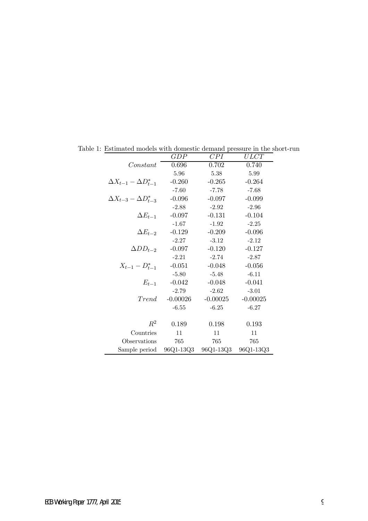|                                     | GDP        | CPI        | ULCT       |
|-------------------------------------|------------|------------|------------|
| Constant                            | 0.696      | 0.702      | 0.740      |
|                                     | 5.96       | 5.38       | 5.99       |
| $\Delta X_{t-1} - \Delta D_{t-1}^*$ | $-0.260$   | $-0.265$   | $-0.264$   |
|                                     | $-7.60$    | $-7.78$    | $-7.68$    |
| $\Delta X_{t-3} - \Delta D_{t-3}^*$ | $-0.096$   | $-0.097$   | $-0.099$   |
|                                     | $-2.88$    | $-2.92$    | $-2.96$    |
| $\Delta E_{t-1}$                    | $-0.097$   | $-0.131$   | $-0.104$   |
|                                     | $-1.67$    | $-1.92$    | $-2.25$    |
| $\Delta E_{t-2}$                    | $-0.129$   | $-0.209$   | $-0.096$   |
|                                     | $-2.27$    | $-3.12$    | $-2.12$    |
| $\Delta DD_{t-2}$                   | $-0.097$   | $-0.120$   | $-0.127$   |
|                                     | $-2.21$    | $-2.74$    | $-2.87$    |
| $X_{t-1} - D_{t-1}^*$               | $-0.051$   | $-0.048$   | $-0.056$   |
|                                     | $-5.80$    | $-5.48$    | $-6.11$    |
| $E_{t-1}$                           | $-0.042$   | $-0.048$   | $-0.041$   |
|                                     | $-2.79$    | $-2.62$    | $-3.01$    |
| Trend                               | $-0.00026$ | $-0.00025$ | $-0.00025$ |
|                                     | $-6.55$    | $-6.25$    | $-6.27$    |
|                                     |            |            |            |
| $R^2$                               | 0.189      | 0.198      | 0.193      |
| Countries                           | 11         | 11         | 11         |
| Observations                        | 765        | 765        | 765        |
| Sample period                       | 96Q1-13Q3  | 96Q1-13Q3  | 96Q1-13Q3  |

Table 1: Estimated models with domestic demand pressure in the short-run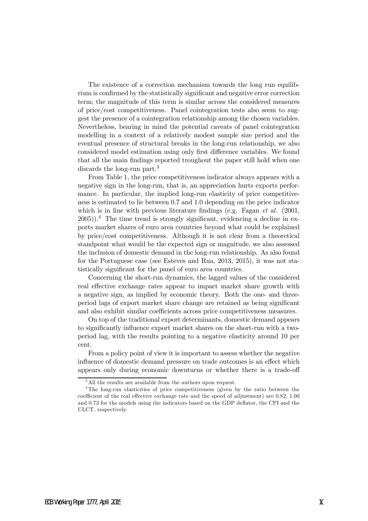The existence of a correction mechanism towards the long run equilibrium is confirmed by the statistically significant and negative error correction term; the magnitude of this term is similar across the considered measures of price/cost competitiveness. Panel cointegration tests also seem to suggest the presence of a cointegration relationship among the chosen variables. Nevertheless, bearing in mind the potential caveats of panel cointegration modelling in a context of a relatively modest sample size period and the eventual presence of structural breaks in the long-run relationship, we also considered model estimation using only first difference variables. We found that all the main findings reported troughout the paper still hold when one discards the long-run part.<sup>3</sup>

From Table 1, the price competitiveness indicator always appears with a negative sign in the long-run, that is, an appreciation hurts exports performance. In particular, the implied long-run elasticity of price competitiveness is estimated to lie between 0.7 and 1.0 depending on the price indicator which is in line with previous literature findings (e.g. Fagan et al. (2001,  $2005$ )).<sup>4</sup> The time trend is strongly significant, evidencing a decline in exports market shares of euro area countries beyond what could be explained by price/cost competitiveness. Although it is not clear from a theoretical standpoint what would be the expected sign or magnitude, we also assessed the inclusion of domestic demand in the long-run relationship. As also found for the Portuguese case (see Esteves and Rua, 2013, 2015), it was not statistically significant for the panel of euro area countries.

Concerning the short-run dynamics, the lagged values of the considered real effective exchange rates appear to impact market share growth with a negative sign, as implied by economic theory. Both the one- and threeperiod lags of export market share change are retained as being significant and also exhibit similar coefficients across price competitiveness measures.

On top of the traditional export determinants, domestic demand appears to significantly influence export market shares on the short-run with a twoperiod lag, with the results pointing to a negative elasticity around 10 per cent.

From a policy point of view it is important to assess whether the negative influence of domestic demand pressure on trade outcomes is an effect which appears only during economic downturns or whether there is a trade-off

 $3$ All the results are available from the authors upon request.

<sup>4</sup>The long-run elasticities of price competitiveness (given by the ratio between the coefficient of the real effective exchange rate and the speed of adjustment) are 0.82, 1.00 and 0.73 for the models using the indicators based on the GDP deflator, the CPI and the ULCT, respectively.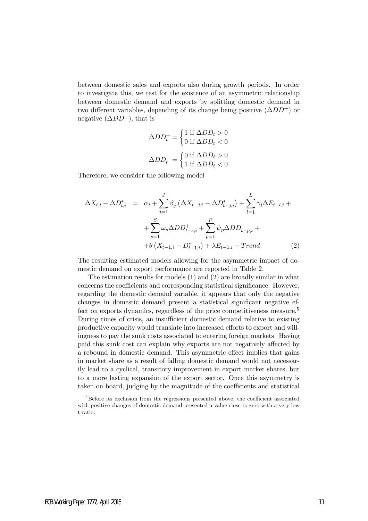between domestic sales and exports also during growth periods. In order to investigate this, we test for the existence of an asymmetric relationship between domestic demand and exports by splitting domestic demand in two different variables, depending of its change being positive  $(\Delta DD^+)$  or negative  $(\Delta D D^{-})$ , that is

$$
\Delta DD_t^+ = \begin{cases} 1 \text{ if } \Delta DD_t > 0 \\ 0 \text{ if } \Delta DD_t < 0 \end{cases}
$$

$$
\Delta DD_t^- = \begin{cases} 0 \text{ if } \Delta DD_t > 0 \\ 1 \text{ if } \Delta DD_t < 0 \end{cases}
$$

Therefore, we consider the following model

$$
\Delta X_{t,i} - \Delta D_{t,i}^{*} = \alpha_{i} + \sum_{j=1}^{J} \beta_{j} \left( \Delta X_{t-j,i} - \Delta D_{t-j,i}^{*} \right) + \sum_{l=1}^{L} \gamma_{l} \Delta E_{t-l,i} + \sum_{s=1}^{S} \omega_{s} \Delta D D_{t-s,i}^{+} + \sum_{p=1}^{P} \psi_{p} \Delta D D_{t-p,i}^{-} + \theta \left( X_{t-1,i} - D_{t-1,i}^{*} \right) + \lambda E_{t-1,i} + Trend
$$
\n(2)

The resulting estimated models allowing for the asymmetric impact of domestic demand on export performance are reported in Table 2.

The estimation results for models (1) and (2) are broadly similar in what concerns the coefficients and corresponding statistical significance. However, regarding the domestic demand variable, it appears that only the negative changes in domestic demand present a statistical significant negative effect on exports dynamics, regardless of the price competitiveness measure.<sup>5</sup> During times of crisis, an insufficient domestic demand relative to existing productive capacity would translate into increased efforts to export and willingness to pay the sunk costs associated to entering foreign markets. Having paid this sunk cost can explain why exports are not negatively affected by a rebound in domestic demand. This asymmetric effect implies that gains in market share as a result of falling domestic demand would not necessarily lead to a cyclical, transitory improvement in export market shares, but to a more lasting expansion of the export sector. Once this asymmetry is taken on board, judging by the magnitude of the coefficients and statistical

<sup>&</sup>lt;sup>5</sup>Before its exclusion from the regressions presented above, the coefficient associated with positive changes of domestic demand presented a value close to zero with a very low t-ratio.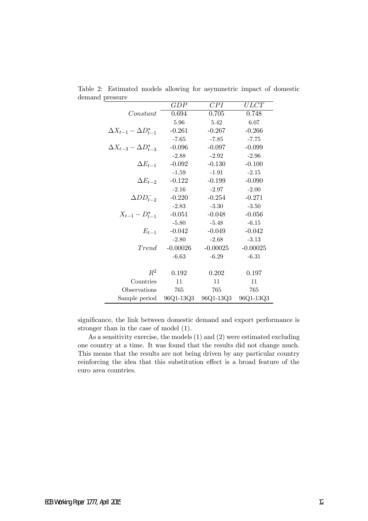|                                     | GDP        | CPI        | ULCT       |
|-------------------------------------|------------|------------|------------|
| Constant                            | 0.694      | 0.705      | 0.748      |
|                                     | 5.96       | 5.42       | 6.07       |
| $\Delta X_{t-1} - \Delta D_{t-1}^*$ | $-0.261$   | $-0.267$   | $-0.266$   |
|                                     | $-7.65$    | $-7.85$    | $-7.75$    |
| $\Delta X_{t-3} - \Delta D_{t-3}^*$ | $-0.096$   | $-0.097$   | $-0.099$   |
|                                     | $-2.88$    | $-2.92$    | $-2.96$    |
| $\Delta E_{t-1}$                    | $-0.092$   | $-0.130$   | $-0.100$   |
|                                     | $-1.59$    | $-1.91$    | $-2.15$    |
| $\Delta E_{t-2}$                    | $-0.122$   | $-0.199$   | $-0.090$   |
|                                     | $-2.16$    | $-2.97$    | $-2.00$    |
| $\Delta DD_{t-2}^-$                 | $-0.220$   | $-0.254$   | $-0.271$   |
|                                     | $-2.83$    | $-3.30$    | $-3.50$    |
| $X_{t-1} - D_{t-1}^*$               | $-0.051$   | $-0.048$   | $-0.056$   |
|                                     | $-5.80$    | $-5.48$    | $-6.15$    |
| $E_{t-1}$                           | $-0.042$   | $-0.049$   | $-0.042$   |
|                                     | $-2.80$    | $-2.68$    | $-3.13$    |
| Trend                               | $-0.00026$ | $-0.00025$ | $-0.00025$ |
|                                     | $-6.63$    | $-6.29$    | $-6.31$    |
|                                     |            |            |            |
| $R^2$                               | 0.192      | 0.202      | 0.197      |
| Countries                           | 11         | 11         | 11         |
| Observations                        | 765        | 765        | 765        |
| Sample period                       | 96Q1-13Q3  | 96Q1-13Q3  | 96Q1-13Q3  |

Table 2: Estimated models allowing for asymmetric impact of domestic demand pressure

significance, the link between domestic demand and export performance is stronger than in the case of model (1).

As a sensitivity exercise, the models (1) and (2) were estimated excluding one country at a time. It was found that the results did not change much. This means that the results are not being driven by any particular country reinforcing the idea that this substitution effect is a broad feature of the euro area countries.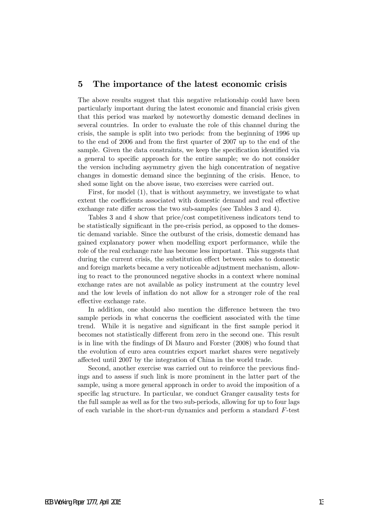# 5 The importance of the latest economic crisis

The above results suggest that this negative relationship could have been particularly important during the latest economic and financial crisis given that this period was marked by noteworthy domestic demand declines in several countries. In order to evaluate the role of this channel during the crisis, the sample is split into two periods: from the beginning of 1996 up to the end of 2006 and from the first quarter of 2007 up to the end of the sample. Given the data constraints, we keep the specification identified via a general to specific approach for the entire sample; we do not consider the version including asymmetry given the high concentration of negative changes in domestic demand since the beginning of the crisis. Hence, to shed some light on the above issue, two exercises were carried out.

First, for model (1), that is without asymmetry, we investigate to what extent the coefficients associated with domestic demand and real effective exchange rate differ across the two sub-samples (see Tables 3 and 4).

Tables 3 and 4 show that price/cost competitiveness indicators tend to be statistically significant in the pre-crisis period, as opposed to the domestic demand variable. Since the outburst of the crisis, domestic demand has gained explanatory power when modelling export performance, while the role of the real exchange rate has become less important. This suggests that during the current crisis, the substitution effect between sales to domestic and foreign markets became a very noticeable adjustment mechanism, allowing to react to the pronounced negative shocks in a context where nominal exchange rates are not available as policy instrument at the country level and the low levels of inflation do not allow for a stronger role of the real effective exchange rate.

In addition, one should also mention the difference between the two sample periods in what concerns the coefficient associated with the time trend. While it is negative and significant in the first sample period it becomes not statistically different from zero in the second one. This result is in line with the findings of Di Mauro and Forster (2008) who found that the evolution of euro area countries export market shares were negatively affected until 2007 by the integration of China in the world trade.

Second, another exercise was carried out to reinforce the previous findings and to assess if such link is more prominent in the latter part of the sample, using a more general approach in order to avoid the imposition of a specific lag structure. In particular, we conduct Granger causality tests for the full sample as well as for the two sub-periods, allowing for up to four lags of each variable in the short-run dynamics and perform a standard F-test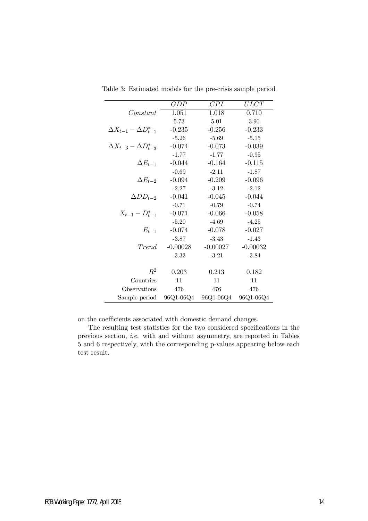|                                     | GDP        | CPI        | ULCT       |
|-------------------------------------|------------|------------|------------|
| Constant                            | 1.051      | 1.018      | 0.710      |
|                                     | 5.73       | 5.01       | 3.90       |
| $\Delta X_{t-1} - \Delta D_{t-1}^*$ | $-0.235$   | $-0.256$   | $-0.233$   |
|                                     | $-5.26$    | $-5.69$    | $-5.15$    |
| $\Delta X_{t-3} - \Delta D_{t-3}^*$ | $-0.074$   | $-0.073$   | $-0.039$   |
|                                     | $-1.77$    | $-1.77$    | $-0.95$    |
| $\Delta E_{t-1}$                    | $-0.044$   | $-0.164$   | $-0.115$   |
|                                     | $-0.69$    | $-2.11$    | $-1.87$    |
| $\Delta E_{t-2}$                    | $-0.094$   | $-0.209$   | $-0.096$   |
|                                     | $-2.27$    | $-3.12$    | $-2.12$    |
| $\Delta DD_{t-2}$                   | $-0.041$   | $-0.045$   | $-0.044$   |
|                                     | $-0.71$    | $-0.79$    | $-0.74$    |
| $X_{t-1} - D_{t-1}^*$               | $-0.071$   | $-0.066$   | $-0.058$   |
|                                     | $-5.20$    | $-4.69$    | $-4.25$    |
| $E_{t-1}$                           | $-0.074$   | $-0.078$   | $-0.027$   |
|                                     | $-3.87$    | $-3.43$    | $-1.43$    |
| Trend                               | $-0.00028$ | $-0.00027$ | $-0.00032$ |
|                                     | $-3.33$    | $-3.21$    | $-3.84$    |
|                                     |            |            |            |
| $R^2$                               | 0.203      | 0.213      | $0.182\,$  |
| Countries                           | 11         | 11         | 11         |
| Observations                        | 476        | 476        | 476        |
| Sample period                       | 96Q1-06Q4  | 96Q1-06Q4  | 96Q1-06Q4  |

Table 3: Estimated models for the pre-crisis sample period

on the coefficients associated with domestic demand changes.

The resulting test statistics for the two considered specifications in the previous section, i.e. with and without asymmetry, are reported in Tables 5 and 6 respectively, with the corresponding p-values appearing below each test result.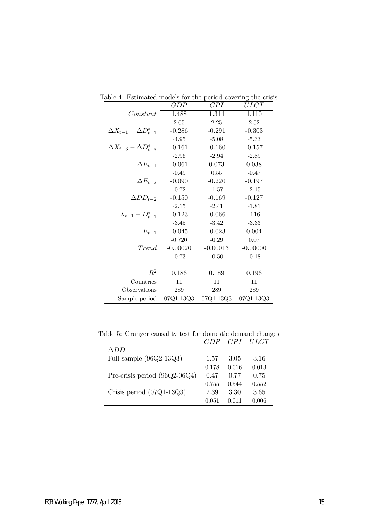|                                     |            |            | $\mathbf{C}$ |
|-------------------------------------|------------|------------|--------------|
|                                     | GDP        | CPI        | ULCT         |
| Constant                            | 1.488      | 1.314      | 1.110        |
|                                     | 2.65       | 2.25       | 2.52         |
| $\Delta X_{t-1} - \Delta D_{t-1}^*$ | $-0.286$   | $-0.291$   | $-0.303$     |
|                                     | $-4.95$    | $-5.08$    | $-5.33$      |
| $\Delta X_{t-3} - \Delta D_{t-3}^*$ | $-0.161$   | $-0.160$   | $-0.157$     |
|                                     | $-2.96$    | $-2.94$    | $-2.89$      |
| $\Delta E_{t-1}$                    | $-0.061$   | 0.073      | 0.038        |
|                                     | $-0.49$    | $0.55\,$   | $-0.47$      |
| $\Delta E_{t-2}$                    | $-0.090$   | $-0.220$   | $-0.197$     |
|                                     | $-0.72$    | $-1.57$    | $-2.15$      |
| $\Delta DD_{t-2}$                   | $-0.150$   | $-0.169$   | $-0.127$     |
|                                     | $-2.15$    | $-2.41$    | $-1.81$      |
| $X_{t-1} - D_{t-1}^*$               | $-0.123$   | $-0.066$   | $-116$       |
|                                     | $-3.45$    | $-3.42$    | $-3.33$      |
| $E_{t-1}$                           | $-0.045$   | $-0.023$   | 0.004        |
|                                     | $-0.720$   | $-0.29$    | 0.07         |
| Trend                               | $-0.00020$ | $-0.00013$ | $-0.00000$   |
|                                     | $-0.73$    | $-0.50$    | $-0.18$      |
|                                     |            |            |              |
| $R^2$                               | 0.186      | 0.189      | 0.196        |
| Countries                           | 11         | 11         | 11           |
| Observations                        | 289        | 289        | 289          |
| Sample period                       | 07Q1-13Q3  | 07Q1-13Q3  | 07Q1-13Q3    |

Table 4: Estimated models for the period covering the crisis

Table 5: Granger causality test for domestic demand changes

|                                 |       | CPI   | <i>ULCT</i> |
|---------------------------------|-------|-------|-------------|
| ADD                             |       |       |             |
| Full sample $(96Q2-13Q3)$       | 1.57  | 3.05  | 3.16        |
|                                 | 0.178 | 0.016 | 0.013       |
| Pre-crisis period $(96Q2-06Q4)$ | 0.47  | 0.77  | 0.75        |
|                                 | 0.755 | 0.544 | 0.552       |
| Crisis period $(07Q1-13Q3)$     | 2.39  | 3.30  | 3.65        |
|                                 | 0.051 | 0.011 | 0.006       |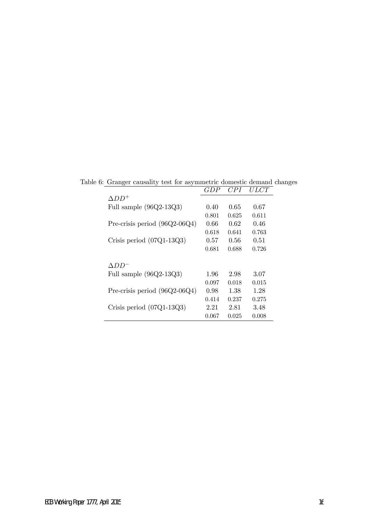|                                 | GDP   | CPI   | ULCT  |
|---------------------------------|-------|-------|-------|
| $\Delta D D^+$                  |       |       |       |
| Full sample $(96Q2-13Q3)$       | 0.40  | 0.65  | 0.67  |
|                                 | 0.801 | 0.625 | 0.611 |
| Pre-crisis period (96Q2-06Q4)   | 0.66  | 0.62  | 0.46  |
|                                 | 0.618 | 0.641 | 0.763 |
| Crisis period $(07Q1-13Q3)$     | 0.57  | 0.56  | 0.51  |
|                                 | 0.681 | 0.688 | 0.726 |
| $\Delta D D^-$                  |       |       |       |
| Full sample $(96Q2-13Q3)$       | 1.96  | 2.98  | 3.07  |
|                                 | 0.097 | 0.018 | 0.015 |
| Pre-crisis period $(96Q2-06Q4)$ | 0.98  | 1.38  | 1.28  |
|                                 | 0.414 | 0.237 | 0.275 |
| Crisis period $(07Q1-13Q3)$     | 2.21  | 2.81  | 3.48  |
|                                 | 0.067 | 0.025 | 0.008 |

Table 6: Granger causality test for asymmetric domestic demand changes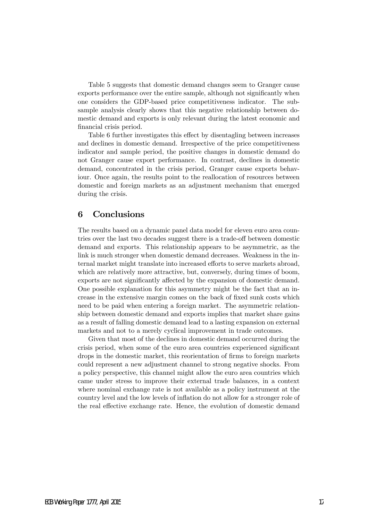Table 5 suggests that domestic demand changes seem to Granger cause exports performance over the entire sample, although not significantly when one considers the GDP-based price competitiveness indicator. The subsample analysis clearly shows that this negative relationship between domestic demand and exports is only relevant during the latest economic and financial crisis period.

Table 6 further investigates this effect by disentagling between increases and declines in domestic demand. Irrespective of the price competitiveness indicator and sample period, the positive changes in domestic demand do not Granger cause export performance. In contrast, declines in domestic demand, concentrated in the crisis period, Granger cause exports behaviour. Once again, the results point to the reallocation of resources between domestic and foreign markets as an adjustment mechanism that emerged during the crisis.

# 6 Conclusions

The results based on a dynamic panel data model for eleven euro area countries over the last two decades suggest there is a trade-off between domestic demand and exports. This relationship appears to be asymmetric, as the link is much stronger when domestic demand decreases. Weakness in the internal market might translate into increased efforts to serve markets abroad, which are relatively more attractive, but, conversely, during times of boom, exports are not significantly affected by the expansion of domestic demand. One possible explanation for this asymmetry might be the fact that an increase in the extensive margin comes on the back of fixed sunk costs which need to be paid when entering a foreign market. The asymmetric relationship between domestic demand and exports implies that market share gains as a result of falling domestic demand lead to a lasting expansion on external markets and not to a merely cyclical improvement in trade outcomes.

Given that most of the declines in domestic demand occurred during the crisis period, when some of the euro area countries experienced significant drops in the domestic market, this reorientation of firms to foreign markets could represent a new adjustment channel to strong negative shocks. From a policy perspective, this channel might allow the euro area countries which came under stress to improve their external trade balances, in a context where nominal exchange rate is not available as a policy instrument at the country level and the low levels of inflation do not allow for a stronger role of the real effective exchange rate. Hence, the evolution of domestic demand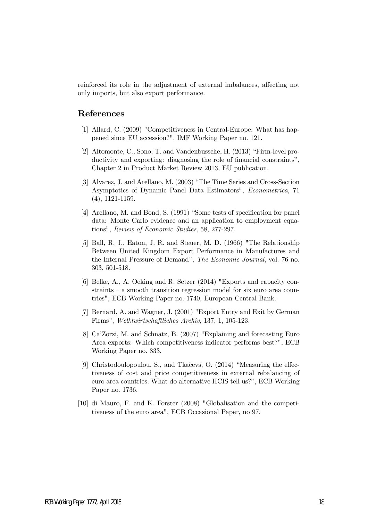reinforced its role in the adjustment of external imbalances, affecting not only imports, but also export performance.

# References

- [1] Allard, C. (2009) "Competitiveness in Central-Europe: What has happened since EU accession?", IMF Working Paper no. 121.
- [2] Altomonte, C., Sono, T. and Vandenbussche, H. (2013) "Firm-level productivity and exporting: diagnosing the role of financial constraints", Chapter 2 in Product Market Review 2013, EU publication.
- [3] Alvarez, J. and Arellano, M. (2003) "The Time Series and Cross-Section Asymptotics of Dynamic Panel Data Estimators", Econometrica, 71 (4), 1121-1159.
- [4] Arellano, M. and Bond, S. (1991) "Some tests of specification for panel data: Monte Carlo evidence and an application to employment equations", Review of Economic Studies, 58, 277-297.
- [5] Ball, R. J., Eaton, J. R. and Steuer, M. D. (1966) "The Relationship Between United Kingdom Export Performance in Manufactures and the Internal Pressure of Demand", The Economic Journal, vol. 76 no. 303, 501-518.
- [6] Belke, A., A. Oeking and R. Setzer (2014) "Exports and capacity constraints — a smooth transition regression model for six euro area countries", ECB Working Paper no. 1740, European Central Bank.
- [7] Bernard, A. and Wagner, J. (2001) "Export Entry and Exit by German Firms", Welktwirtschaftliches Archiv, 137, 1, 105-123.
- [8] Ca'Zorzi, M. and Schnatz, B. (2007) "Explaining and forecasting Euro Area exports: Which competitiveness indicator performs best?", ECB Working Paper no. 833.
- [9] Christodoulopoulou, S., and Tkačevs, O. (2014) "Measuring the effectiveness of cost and price competitiveness in external rebalancing of euro area countries. What do alternative HCIS tell us?", ECB Working Paper no. 1736.
- [10] di Mauro, F. and K. Forster (2008) "Globalisation and the competitiveness of the euro area", ECB Occasional Paper, no 97.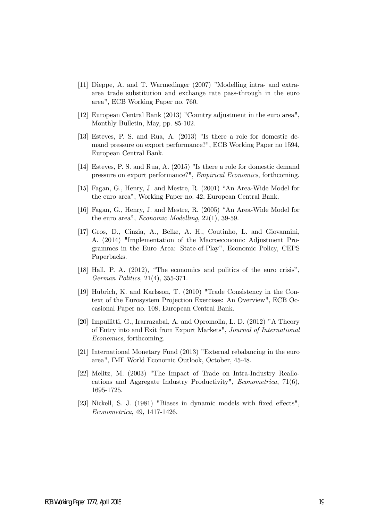- [11] Dieppe, A. and T. Warmedinger (2007) "Modelling intra- and extraarea trade substitution and exchange rate pass-through in the euro area", ECB Working Paper no. 760.
- [12] European Central Bank (2013) "Country adjustment in the euro area", Monthly Bulletin, May, pp. 85-102.
- [13] Esteves, P. S. and Rua, A. (2013) "Is there a role for domestic demand pressure on export performance?", ECB Working Paper no 1594, European Central Bank.
- [14] Esteves, P. S. and Rua, A. (2015) "Is there a role for domestic demand pressure on export performance?", Empirical Economics, forthcoming.
- [15] Fagan, G., Henry, J. and Mestre, R. (2001) "An Area-Wide Model for the euro area", Working Paper no. 42, European Central Bank.
- [16] Fagan, G., Henry, J. and Mestre, R. (2005) "An Area-Wide Model for the euro area", Economic Modelling, 22(1), 39-59.
- [17] Gros, D., Cinzia, A., Belke, A. H., Coutinho, L. and Giovannini, A. (2014) "Implementation of the Macroeconomic Adjustment Programmes in the Euro Area: State-of-Play", Economic Policy, CEPS Paperbacks.
- [18] Hall, P. A. (2012), "The economics and politics of the euro crisis", German Politics, 21(4), 355-371.
- [19] Hubrich, K. and Karlsson, T. (2010) "Trade Consistency in the Context of the Eurosystem Projection Exercises: An Overview", ECB Occasional Paper no. 108, European Central Bank.
- [20] Impullitti, G., Irarrazabal, A. and Opromolla, L. D. (2012) "A Theory of Entry into and Exit from Export Markets", Journal of International Economics, forthcoming.
- [21] International Monetary Fund (2013) "External rebalancing in the euro area", IMF World Economic Outlook, October, 45-48.
- [22] Melitz, M. (2003) "The Impact of Trade on Intra-Industry Reallocations and Aggregate Industry Productivity", Econometrica, 71(6), 1695-1725.
- [23] Nickell, S. J. (1981) "Biases in dynamic models with fixed effects", Econometrica, 49, 1417-1426.